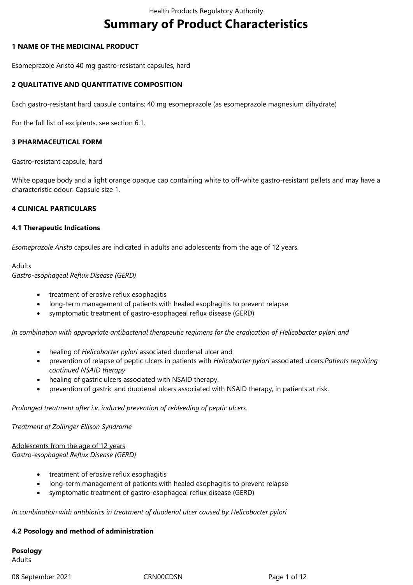# **Summary of Product Characteristics**

#### **1 NAME OF THE MEDICINAL PRODUCT**

Esomeprazole Aristo 40 mg gastro-resistant capsules, hard

## **2 QUALITATIVE AND QUANTITATIVE COMPOSITION**

Each gastro-resistant hard capsule contains: 40 mg esomeprazole (as esomeprazole magnesium dihydrate)

For the full list of excipients, see section 6.1.

## **3 PHARMACEUTICAL FORM**

Gastro-resistant capsule, hard

White opaque body and a light orange opaque cap containing white to off-white gastro-resistant pellets and may have a characteristic odour. Capsule size 1.

## **4 CLINICAL PARTICULARS**

#### **4.1 Therapeutic Indications**

*Esomeprazole Aristo* capsules are indicated in adults and adolescents from the age of 12 years.

## **Adults**

*Gastro-esophageal Reflux Disease (GERD)*

- treatment of erosive reflux esophagitis
- long-term management of patients with healed esophagitis to prevent relapse
- symptomatic treatment of gastro-esophageal reflux disease (GERD)

*In combination with appropriate antibacterial therapeutic regimens for the eradication of Helicobacter pylori and*

- healing of *Helicobacter pylori* associated duodenal ulcer and
- prevention of relapse of peptic ulcers in patients with *Helicobacter pylori* associated ulcers.*Patients requiring continued NSAID therapy*
- healing of gastric ulcers associated with NSAID therapy.
- prevention of gastric and duodenal ulcers associated with NSAID therapy, in patients at risk.

#### *Prolonged treatment after i.v. induced prevention of rebleeding of peptic ulcers.*

*Treatment of Zollinger Ellison Syndrome*

Adolescents from the age of 12 years *Gastro-esophageal Reflux Disease (GERD)*

- treatment of erosive reflux esophagitis
- long-term management of patients with healed esophagitis to prevent relapse
- symptomatic treatment of gastro-esophageal reflux disease (GERD)

*In combination with antibiotics in treatment of duodenal ulcer caused by Helicobacter pylori*

#### **4.2 Posology and method of administration**

**Posology** Adults

08 September 2021 CRN00CDSN CROSSER Page 1 of 12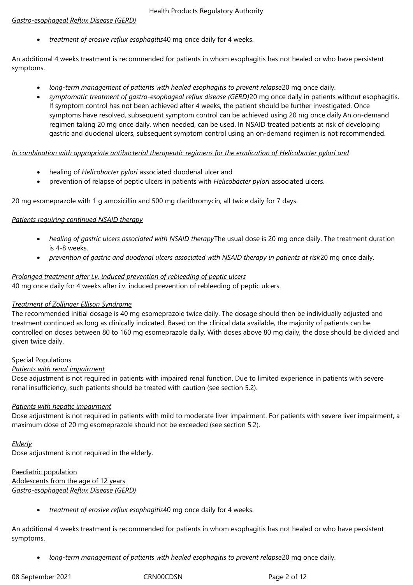# *Gastro-esophageal Reflux Disease (GERD)*

*treatment of erosive reflux esophagitis*40 mg once daily for 4 weeks.

An additional 4 weeks treatment is recommended for patients in whom esophagitis has not healed or who have persistent symptoms.

- *long-term management of patients with healed esophagitis to prevent relapse*20 mg once daily.
- *symptomatic treatment of gastro-esophageal reflux disease (GERD)*20 mg once daily in patients without esophagitis. If symptom control has not been achieved after 4 weeks, the patient should be further investigated. Once symptoms have resolved, subsequent symptom control can be achieved using 20 mg once daily.An on-demand regimen taking 20 mg once daily, when needed, can be used. In NSAID treated patients at risk of developing gastric and duodenal ulcers, subsequent symptom control using an on-demand regimen is not recommended.

## *In combination with appropriate antibacterial therapeutic regimens for the eradication of Helicobacter pylori and*

- healing of *Helicobacter pylori* associated duodenal ulcer and
- prevention of relapse of peptic ulcers in patients with *Helicobacter pylori* associated ulcers.

20 mg esomeprazole with 1 g amoxicillin and 500 mg clarithromycin, all twice daily for 7 days.

## *Patients requiring continued NSAID therapy*

- *healing of gastric ulcers associated with NSAID therapy*The usual dose is 20 mg once daily. The treatment duration is 4‑8 weeks.
- *prevention of gastric and duodenal ulcers associated with NSAID therapy in patients at risk*20 mg once daily.

## *Prolonged treatment after i.v. induced prevention of rebleeding of peptic ulcers*

40 mg once daily for 4 weeks after i.v. induced prevention of rebleeding of peptic ulcers.

# *Treatment of Zollinger Ellison Syndrome*

The recommended initial dosage is 40 mg esomeprazole twice daily. The dosage should then be individually adjusted and treatment continued as long as clinically indicated. Based on the clinical data available, the majority of patients can be controlled on doses between 80 to 160 mg esomeprazole daily. With doses above 80 mg daily, the dose should be divided and given twice daily.

## Special Populations

## *Patients with renal impairment*

Dose adjustment is not required in patients with impaired renal function. Due to limited experience in patients with severe renal insufficiency, such patients should be treated with caution (see section 5.2).

## *Patients with hepatic impairment*

Dose adjustment is not required in patients with mild to moderate liver impairment. For patients with severe liver impairment, a maximum dose of 20 mg esomeprazole should not be exceeded (see section 5.2).

## *Elderly*

Dose adjustment is not required in the elderly.

#### Paediatric population Adolescents from the age of 12 years *Gastro-esophageal Reflux Disease (GERD)*

*treatment of erosive reflux esophagitis*40 mg once daily for 4 weeks.

An additional 4 weeks treatment is recommended for patients in whom esophagitis has not healed or who have persistent symptoms.

*long-term management of patients with healed esophagitis to prevent relapse*20 mg once daily.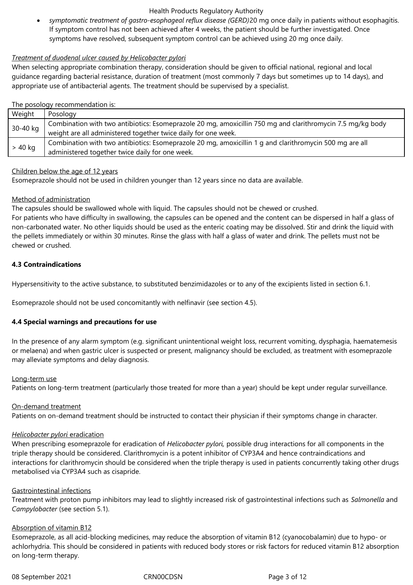*symptomatic treatment of gastro-esophageal reflux disease (GERD)*20 mg once daily in patients without esophagitis. If symptom control has not been achieved after 4 weeks, the patient should be further investigated. Once symptoms have resolved, subsequent symptom control can be achieved using 20 mg once daily.

## *Treatment of duodenal ulcer caused by Helicobacter pylori*

When selecting appropriate combination therapy, consideration should be given to official national, regional and local guidance regarding bacterial resistance, duration of treatment (most commonly 7 days but sometimes up to 14 days), and appropriate use of antibacterial agents. The treatment should be supervised by a specialist.

## The posology recommendation is:

| Weight   | Posology                                                                                                                                                                     |  |
|----------|------------------------------------------------------------------------------------------------------------------------------------------------------------------------------|--|
| 30-40 kg | Combination with two antibiotics: Esomeprazole 20 mg, amoxicillin 750 mg and clarithromycin 7.5 mg/kg body<br>weight are all administered together twice daily for one week. |  |
| > 40 kg  | Combination with two antibiotics: Esomeprazole 20 mg, amoxicillin 1 g and clarithromycin 500 mg are all                                                                      |  |
|          | administered together twice daily for one week.                                                                                                                              |  |

## Children below the age of 12 years

Esomeprazole should not be used in children younger than 12 years since no data are available.

## Method of administration

The capsules should be swallowed whole with liquid. The capsules should not be chewed or crushed.

For patients who have difficulty in swallowing, the capsules can be opened and the content can be dispersed in half a glass of non-carbonated water. No other liquids should be used as the enteric coating may be dissolved. Stir and drink the liquid with the pellets immediately or within 30 minutes. Rinse the glass with half a glass of water and drink. The pellets must not be chewed or crushed.

# **4.3 Contraindications**

Hypersensitivity to the active substance, to substituted benzimidazoles or to any of the excipients listed in section 6.1.

Esomeprazole should not be used concomitantly with nelfinavir (see section 4.5).

# **4.4 Special warnings and precautions for use**

In the presence of any alarm symptom (e.g. significant unintentional weight loss, recurrent vomiting, dysphagia, haematemesis or melaena) and when gastric ulcer is suspected or present, malignancy should be excluded, as treatment with esomeprazole may alleviate symptoms and delay diagnosis.

## Long-term use

Patients on long-term treatment (particularly those treated for more than a year) should be kept under regular surveillance.

# On-demand treatment

Patients on on-demand treatment should be instructed to contact their physician if their symptoms change in character.

## *Helicobacter pylori* eradication

When prescribing esomeprazole for eradication of *Helicobacter pylori,* possible drug interactions for all components in the triple therapy should be considered. Clarithromycin is a potent inhibitor of CYP3A4 and hence contraindications and interactions for clarithromycin should be considered when the triple therapy is used in patients concurrently taking other drugs metabolised via CYP3A4 such as cisapride.

## Gastrointestinal infections

Treatment with proton pump inhibitors may lead to slightly increased risk of gastrointestinal infections such as *Salmonella* and *Campylobacter* (see section 5.1).

## Absorption of vitamin B12

Esomeprazole, as all acid-blocking medicines, may reduce the absorption of vitamin B12 (cyanocobalamin) due to hypo- or achlorhydria. This should be considered in patients with reduced body stores or risk factors for reduced vitamin B12 absorption on long-term therapy.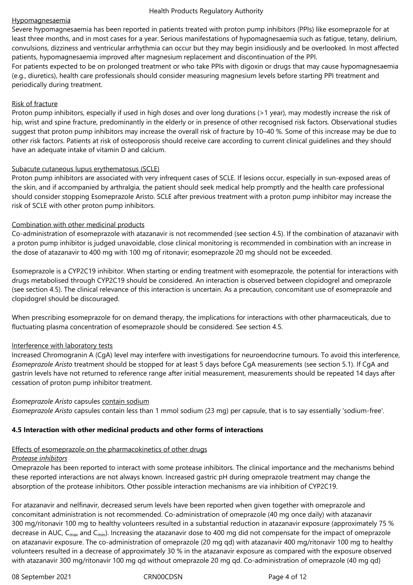#### Hypomagnesaemia

Severe hypomagnesaemia has been reported in patients treated with proton pump inhibitors (PPIs) like esomeprazole for at least three months, and in most cases for a year. Serious manifestations of hypomagnesaemia such as fatigue, tetany, delirium, convulsions, dizziness and ventricular arrhythmia can occur but they may begin insidiously and be overlooked. In most affected patients, hypomagnesaemia improved after magnesium replacement and discontinuation of the PPI.

For patients expected to be on prolonged treatment or who take PPIs with digoxin or drugs that may cause hypomagnesaemia (e.g., diuretics), health care professionals should consider measuring magnesium levels before starting PPI treatment and periodically during treatment.

## Risk of fracture

Proton pump inhibitors, especially if used in high doses and over long durations (>1 year), may modestly increase the risk of hip, wrist and spine fracture, predominantly in the elderly or in presence of other recognised risk factors. Observational studies suggest that proton pump inhibitors may increase the overall risk of fracture by 10–40 %. Some of this increase may be due to other risk factors. Patients at risk of osteoporosis should receive care according to current clinical guidelines and they should have an adequate intake of vitamin D and calcium.

## Subacute cutaneous lupus erythematosus (SCLE)

Proton pump inhibitors are associated with very infrequent cases of SCLE. If lesions occur, especially in sun-exposed areas of the skin, and if accompanied by arthralgia, the patient should seek medical help promptly and the health care professional should consider stopping Esomeprazole Aristo. SCLE after previous treatment with a proton pump inhibitor may increase the risk of SCLE with other proton pump inhibitors.

## Combination with other medicinal products

Co-administration of esomeprazole with atazanavir is not recommended (see section 4.5). If the combination of atazanavir with a proton pump inhibitor is judged unavoidable, close clinical monitoring is recommended in combination with an increase in the dose of atazanavir to 400 mg with 100 mg of ritonavir; esomeprazole 20 mg should not be exceeded.

Esomeprazole is a CYP2C19 inhibitor. When starting or ending treatment with esomeprazole, the potential for interactions with drugs metabolised through CYP2C19 should be considered. An interaction is observed between clopidogrel and omeprazole (see section 4.5). The clinical relevance of this interaction is uncertain. As a precaution, concomitant use of esomeprazole and clopidogrel should be discouraged.

When prescribing esomeprazole for on demand therapy, the implications for interactions with other pharmaceuticals, due to fluctuating plasma concentration of esomeprazole should be considered. See section 4.5.

#### Interference with laboratory tests

Increased Chromogranin A (CgA) level may interfere with investigations for neuroendocrine tumours. To avoid this interference, *Esomeprazole Aristo* treatment should be stopped for at least 5 days before CgA measurements (see section 5.1). If CgA and gastrin levels have not returned to reference range after initial measurement, measurements should be repeated 14 days after cessation of proton pump inhibitor treatment.

#### *Esomeprazole Aristo* capsules contain sodium

*Esomeprazole Aristo* capsules contain less than 1 mmol sodium (23 mg) per capsule, that is to say essentially 'sodium-free'.

## **4.5 Interaction with other medicinal products and other forms of interactions**

#### Effects of esomeprazole on the pharmacokinetics of other drugs

#### *Protease inhibitors*

Omeprazole has been reported to interact with some protease inhibitors. The clinical importance and the mechanisms behind these reported interactions are not always known. Increased gastric pH during omeprazole treatment may change the absorption of the protease inhibitors. Other possible interaction mechanisms are via inhibition of CYP2C19.

For atazanavir and nelfinavir, decreased serum levels have been reported when given together with omeprazole and concomitant administration is not recommended. Co-administration of omeprazole (40 mg once daily) with atazanavir 300 mg/ritonavir 100 mg to healthy volunteers resulted in a substantial reduction in atazanavir exposure (approximately 75 % decrease in AUC, C<sub>max</sub> and C<sub>min</sub>). Increasing the atazanavir dose to 400 mg did not compensate for the impact of omeprazole on atazanavir exposure. The co-administration of omeprazole (20 mg qd) with atazanavir 400 mg/ritonavir 100 mg to healthy volunteers resulted in a decrease of approximately 30 % in the atazanavir exposure as compared with the exposure observed with atazanavir 300 mg/ritonavir 100 mg qd without omeprazole 20 mg qd. Co-administration of omeprazole (40 mg qd)

08 September 2021 CRN00CDSN CROSSER Page 4 of 12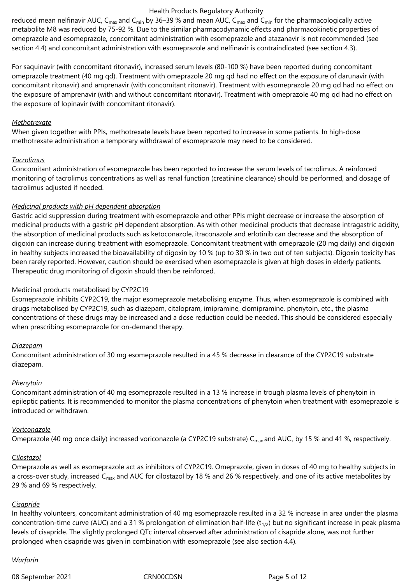reduced mean nelfinavir AUC,  $C_{max}$  and  $C_{min}$  by 36–39 % and mean AUC,  $C_{max}$  and  $C_{min}$  for the pharmacologically active metabolite M8 was reduced by 75‑92 %. Due to the similar pharmacodynamic effects and pharmacokinetic properties of omeprazole and esomeprazole, concomitant administration with esomeprazole and atazanavir is not recommended (see section 4.4) and concomitant administration with esomeprazole and nelfinavir is contraindicated (see section 4.3).

For saquinavir (with concomitant ritonavir), increased serum levels (80‑100 %) have been reported during concomitant omeprazole treatment (40 mg qd). Treatment with omeprazole 20 mg qd had no effect on the exposure of darunavir (with concomitant ritonavir) and amprenavir (with concomitant ritonavir). Treatment with esomeprazole 20 mg qd had no effect on the exposure of amprenavir (with and without concomitant ritonavir). Treatment with omeprazole 40 mg qd had no effect on the exposure of lopinavir (with concomitant ritonavir).

#### *Methotrexate*

When given together with PPIs, methotrexate levels have been reported to increase in some patients. In high-dose methotrexate administration a temporary withdrawal of esomeprazole may need to be considered.

#### *Tacrolimus*

Concomitant administration of esomeprazole has been reported to increase the serum levels of tacrolimus. A reinforced monitoring of tacrolimus concentrations as well as renal function (creatinine clearance) should be performed, and dosage of tacrolimus adjusted if needed.

#### *Medicinal products with pH dependent absorption*

Gastric acid suppression during treatment with esomeprazole and other PPIs might decrease or increase the absorption of medicinal products with a gastric pH dependent absorption. As with other medicinal products that decrease intragastric acidity, the absorption of medicinal products such as ketoconazole, itraconazole and erlotinib can decrease and the absorption of digoxin can increase during treatment with esomeprazole. Concomitant treatment with omeprazole (20 mg daily) and digoxin in healthy subjects increased the bioavailability of digoxin by 10 % (up to 30 % in two out of ten subjects). Digoxin toxicity has been rarely reported. However, caution should be exercised when esomeprazole is given at high doses in elderly patients. Therapeutic drug monitoring of digoxin should then be reinforced.

#### Medicinal products metabolised by CYP2C19

Esomeprazole inhibits CYP2C19, the major esomeprazole metabolising enzyme. Thus, when esomeprazole is combined with drugs metabolised by CYP2C19, such as diazepam, citalopram, imipramine, clomipramine, phenytoin, etc., the plasma concentrations of these drugs may be increased and a dose reduction could be needed. This should be considered especially when prescribing esomeprazole for on-demand therapy.

#### *Diazepam*

Concomitant administration of 30 mg esomeprazole resulted in a 45 % decrease in clearance of the CYP2C19 substrate diazepam.

#### *Phenytoin*

Concomitant administration of 40 mg esomeprazole resulted in a 13 % increase in trough plasma levels of phenytoin in epileptic patients. It is recommended to monitor the plasma concentrations of phenytoin when treatment with esomeprazole is introduced or withdrawn.

#### *Voriconazole*

Omeprazole (40 mg once daily) increased voriconazole (a CYP2C19 substrate) C $_{\sf max}$ and AUC $_{\sf \tau}$  by 15 % and 41 %, respectively.

#### *Cilostazol*

Omeprazole as well as esomeprazole act as inhibitors of CYP2C19. Omeprazole, given in doses of 40 mg to healthy subjects in a cross-over study, increased  $C_{\text{max}}$  and AUC for cilostazol by 18 % and 26 % respectively, and one of its active metabolites by 29 % and 69 % respectively.

#### *Cisapride*

In healthy volunteers, concomitant administration of 40 mg esomeprazole resulted in a 32 % increase in area under the plasma concentration-time curve (AUC) and a 31 % prolongation of elimination half-life  $(t_{1/2})$  but no significant increase in peak plasma levels of cisapride. The slightly prolonged QTc interval observed after administration of cisapride alone, was not further prolonged when cisapride was given in combination with esomeprazole (see also section 4.4).

#### *Warfarin*

08 September 2021 CRN00CDSN Page 5 of 12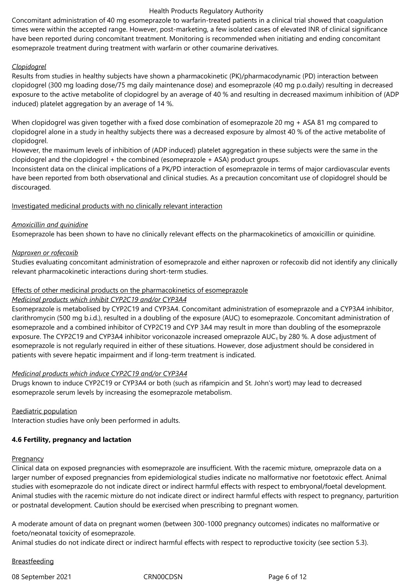Concomitant administration of 40 mg esomeprazole to warfarin-treated patients in a clinical trial showed that coagulation times were within the accepted range. However, post-marketing, a few isolated cases of elevated INR of clinical significance have been reported during concomitant treatment. Monitoring is recommended when initiating and ending concomitant esomeprazole treatment during treatment with warfarin or other coumarine derivatives.

## *Clopidogrel*

Results from studies in healthy subjects have shown a pharmacokinetic (PK)/pharmacodynamic (PD) interaction between clopidogrel (300 mg loading dose/75 mg daily maintenance dose) and esomeprazole (40 mg p.o.daily) resulting in decreased exposure to the active metabolite of clopidogrel by an average of 40 % and resulting in decreased maximum inhibition of (ADP induced) platelet aggregation by an average of 14 %.

When clopidogrel was given together with a fixed dose combination of esomeprazole 20 mg + ASA 81 mg compared to clopidogrel alone in a study in healthy subjects there was a decreased exposure by almost 40 % of the active metabolite of clopidogrel.

However, the maximum levels of inhibition of (ADP induced) platelet aggregation in these subjects were the same in the clopidogrel and the clopidogrel + the combined (esomeprazole + ASA) product groups.

Inconsistent data on the clinical implications of a PK/PD interaction of esomeprazole in terms of major cardiovascular events have been reported from both observational and clinical studies. As a precaution concomitant use of clopidogrel should be discouraged.

## Investigated medicinal products with no clinically relevant interaction

## *Amoxicillin and quinidine*

Esomeprazole has been shown to have no clinically relevant effects on the pharmacokinetics of amoxicillin or quinidine.

## *Naproxen or rofecoxib*

Studies evaluating concomitant administration of esomeprazole and either naproxen or rofecoxib did not identify any clinically relevant pharmacokinetic interactions during short-term studies.

#### Effects of other medicinal products on the pharmacokinetics of esomeprazole

#### *Medicinal products which inhibit CYP2C19 and/or CYP3A4*

Esomeprazole is metabolised by CYP2C19 and CYP3A4. Concomitant administration of esomeprazole and a CYP3A4 inhibitor, clarithromycin (500 mg b.i.d.), resulted in a doubling of the exposure (AUC) to esomeprazole. Concomitant administration of esomeprazole and a combined inhibitor of CYP2C19 and CYP 3A4 may result in more than doubling of the esomeprazole exposure. The CYP2C19 and CYP3A4 inhibitor voriconazole increased omeprazole  $AUC<sub>τ</sub>$  by 280 %. A dose adjustment of esomeprazole is not regularly required in either of these situations. However, dose adjustment should be considered in patients with severe hepatic impairment and if long-term treatment is indicated.

#### *Medicinal products which induce CYP2C19 and/or CYP3A4*

Drugs known to induce CYP2C19 or CYP3A4 or both (such as rifampicin and St. John's wort) may lead to decreased esomeprazole serum levels by increasing the esomeprazole metabolism.

#### Paediatric population

Interaction studies have only been performed in adults.

## **4.6 Fertility, pregnancy and lactation**

#### **Pregnancy**

Clinical data on exposed pregnancies with esomeprazole are insufficient. With the racemic mixture, omeprazole data on a larger number of exposed pregnancies from epidemiological studies indicate no malformative nor foetotoxic effect. Animal studies with esomeprazole do not indicate direct or indirect harmful effects with respect to embryonal/foetal development. Animal studies with the racemic mixture do not indicate direct or indirect harmful effects with respect to pregnancy, parturition or postnatal development. Caution should be exercised when prescribing to pregnant women.

A moderate amount of data on pregnant women (between 300-1000 pregnancy outcomes) indicates no malformative or foeto/neonatal toxicity of esomeprazole.

Animal studies do not indicate direct or indirect harmful effects with respect to reproductive toxicity (see section 5.3).

## Breastfeeding

08 September 2021 CRN00CDSN Page 6 of 12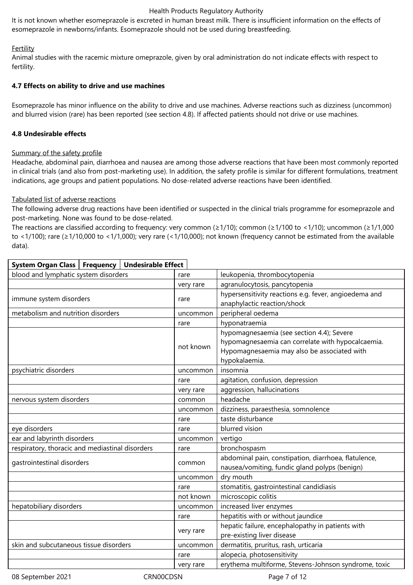It is not known whether esomeprazole is excreted in human breast milk. There is insufficient information on the effects of esomeprazole in newborns/infants. Esomeprazole should not be used during breastfeeding.

## Fertility

Animal studies with the racemic mixture omeprazole, given by oral administration do not indicate effects with respect to fertility.

## **4.7 Effects on ability to drive and use machines**

**System Organ Class Frequency Undesirable Effect**

Esomeprazole has minor influence on the ability to drive and use machines. Adverse reactions such as dizziness (uncommon) and blurred vision (rare) has been reported (see section 4.8). If affected patients should not drive or use machines.

## **4.8 Undesirable effects**

## Summary of the safety profile

Headache, abdominal pain, diarrhoea and nausea are among those adverse reactions that have been most commonly reported in clinical trials (and also from post-marketing use). In addition, the safety profile is similar for different formulations, treatment indications, age groups and patient populations. No dose-related adverse reactions have been identified.

## Tabulated list of adverse reactions

The following adverse drug reactions have been identified or suspected in the clinical trials programme for esomeprazole and post-marketing. None was found to be dose-related.

The reactions are classified according to frequency: very common (≥1/10); common (≥1/100 to <1/10); uncommon (≥1/1,000 to <1/100); rare (≥1/10,000 to <1/1,000); very rare (<1/10,000); not known (frequency cannot be estimated from the available data).

| blood and lymphatic system disorders            | rare      | leukopenia, thrombocytopenia                                                                                                                                   |
|-------------------------------------------------|-----------|----------------------------------------------------------------------------------------------------------------------------------------------------------------|
|                                                 | very rare | agranulocytosis, pancytopenia                                                                                                                                  |
| immune system disorders                         | rare      | hypersensitivity reactions e.g. fever, angioedema and<br>anaphylactic reaction/shock                                                                           |
| metabolism and nutrition disorders              | uncommon  | peripheral oedema                                                                                                                                              |
|                                                 | rare      | hyponatraemia                                                                                                                                                  |
|                                                 | not known | hypomagnesaemia (see section 4.4); Severe<br>hypomagnesaemia can correlate with hypocalcaemia.<br>Hypomagnesaemia may also be associated with<br>hypokalaemia. |
| psychiatric disorders                           | uncommon  | insomnia                                                                                                                                                       |
|                                                 | rare      | agitation, confusion, depression                                                                                                                               |
|                                                 | very rare | aggression, hallucinations                                                                                                                                     |
| nervous system disorders                        | common    | headache                                                                                                                                                       |
|                                                 | uncommon  | dizziness, paraesthesia, somnolence                                                                                                                            |
|                                                 | rare      | taste disturbance                                                                                                                                              |
| eye disorders                                   | rare      | blurred vision                                                                                                                                                 |
| ear and labyrinth disorders                     | uncommon  | vertigo                                                                                                                                                        |
| respiratory, thoracic and mediastinal disorders | rare      | bronchospasm                                                                                                                                                   |
| gastrointestinal disorders                      | common    | abdominal pain, constipation, diarrhoea, flatulence,<br>nausea/vomiting, fundic gland polyps (benign)                                                          |
|                                                 | uncommon  | dry mouth                                                                                                                                                      |
|                                                 | rare      | stomatitis, gastrointestinal candidiasis                                                                                                                       |
|                                                 | not known | microscopic colitis                                                                                                                                            |
| hepatobiliary disorders                         | uncommon  | increased liver enzymes                                                                                                                                        |
|                                                 | rare      | hepatitis with or without jaundice                                                                                                                             |
|                                                 | very rare | hepatic failure, encephalopathy in patients with<br>pre-existing liver disease                                                                                 |
| skin and subcutaneous tissue disorders          | uncommon  | dermatitis, pruritus, rash, urticaria                                                                                                                          |
|                                                 | rare      | alopecia, photosensitivity                                                                                                                                     |
|                                                 | very rare | erythema multiforme, Stevens-Johnson syndrome, toxic                                                                                                           |

08 September 2021 CRN00CDSN Page 7 of 12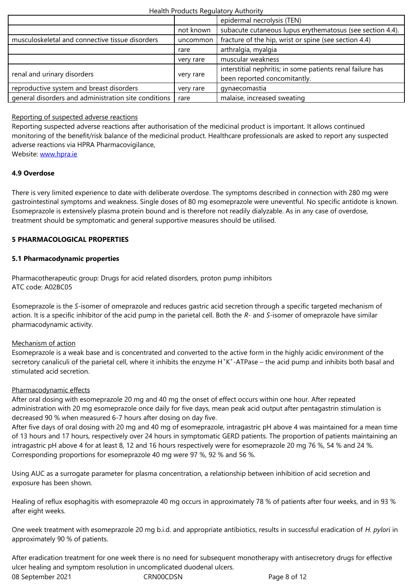| musculoskeletal and connective tissue disorders      | uncommon  | fracture of the hip, wrist or spine (see section 4.4)      |
|------------------------------------------------------|-----------|------------------------------------------------------------|
|                                                      | rare      | arthralgia, myalgia                                        |
|                                                      | very rare | muscular weakness                                          |
| renal and urinary disorders                          | very rare | interstitial nephritis; in some patients renal failure has |
|                                                      |           | been reported concomitantly.                               |
| reproductive system and breast disorders             | very rare | gynaecomastia                                              |
| general disorders and administration site conditions | rare      | malaise, increased sweating                                |

## Reporting of suspected adverse reactions

Reporting suspected adverse reactions after authorisation of the medicinal product is important. It allows continued monitoring of the benefit/risk balance of the medicinal product. Healthcare professionals are asked to report any suspected adverse reactions via HPRA Pharmacovigilance,

Website: www.hpra.ie

#### **4.9 Overdose**

There is [very limited e](http://www.hpra.ie/)xperience to date with deliberate overdose. The symptoms described in connection with 280 mg were gastrointestinal symptoms and weakness. Single doses of 80 mg esomeprazole were uneventful. No specific antidote is known. Esomeprazole is extensively plasma protein bound and is therefore not readily dialyzable. As in any case of overdose, treatment should be symptomatic and general supportive measures should be utilised.

## **5 PHARMACOLOGICAL PROPERTIES**

#### **5.1 Pharmacodynamic properties**

Pharmacotherapeutic group: Drugs for acid related disorders, proton pump inhibitors ATC code: A02BC05

Esomeprazole is the *S*-isomer of omeprazole and reduces gastric acid secretion through a specific targeted mechanism of action. It is a specific inhibitor of the acid pump in the parietal cell. Both the *R*- and *S*-isomer of omeprazole have similar pharmacodynamic activity.

#### Mechanism of action

Esomeprazole is a weak base and is concentrated and converted to the active form in the highly acidic environment of the secretory canaliculi of the parietal cell, where it inhibits the enzyme H<sup>+</sup>K<sup>+</sup>-ATPase – the acid pump and inhibits both basal and stimulated acid secretion.

#### Pharmacodynamic effects

After oral dosing with esomeprazole 20 mg and 40 mg the onset of effect occurs within one hour. After repeated administration with 20 mg esomeprazole once daily for five days, mean peak acid output after pentagastrin stimulation is decreased 90 % when measured 6‑7 hours after dosing on day five.

After five days of oral dosing with 20 mg and 40 mg of esomeprazole, intragastric pH above 4 was maintained for a mean time of 13 hours and 17 hours, respectively over 24 hours in symptomatic GERD patients. The proportion of patients maintaining an intragastric pH above 4 for at least 8, 12 and 16 hours respectively were for esomeprazole 20 mg 76 %, 54 % and 24 %. Corresponding proportions for esomeprazole 40 mg were 97 %, 92 % and 56 %.

Using AUC as a surrogate parameter for plasma concentration, a relationship between inhibition of acid secretion and exposure has been shown.

Healing of reflux esophagitis with esomeprazole 40 mg occurs in approximately 78 % of patients after four weeks, and in 93 % after eight weeks.

One week treatment with esomeprazole 20 mg b.i.d. and appropriate antibiotics, results in successful eradication of *H. pylori* in approximately 90 % of patients.

After eradication treatment for one week there is no need for subsequent monotherapy with antisecretory drugs for effective ulcer healing and symptom resolution in uncomplicated duodenal ulcers.

08 September 2021 CRN00CDSN CRONOCDSN Page 8 of 12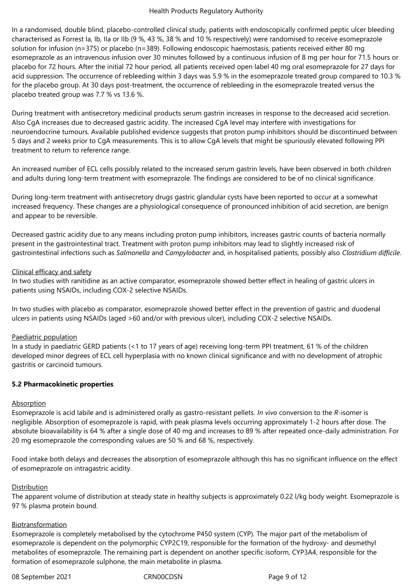In a randomised, double blind, placebo-controlled clinical study, patients with endoscopically confirmed peptic ulcer bleeding characterised as Forrest Ia, Ib, IIa or IIb (9 %, 43 %, 38 % and 10 % respectively) were randomised to receive esomeprazole solution for infusion (n=375) or placebo (n=389). Following endoscopic haemostasis, patients received either 80 mg esomeprazole as an intravenous infusion over 30 minutes followed by a continuous infusion of 8 mg per hour for 71.5 hours or placebo for 72 hours. After the initial 72 hour period, all patients received open label 40 mg oral esomeprazole for 27 days for acid suppression. The occurrence of rebleeding within 3 days was 5.9 % in the esomeprazole treated group compared to 10.3 % for the placebo group. At 30 days post-treatment, the occurrence of rebleeding in the esomeprazole treated versus the placebo treated group was 7.7 % vs 13.6 %.

During treatment with antisecretory medicinal products serum gastrin increases in response to the decreased acid secretion. Also CgA increases due to decreased gastric acidity. The increased CgA level may interfere with investigations for neuroendocrine tumours. Available published evidence suggests that proton pump inhibitors should be discontinued between 5 days and 2 weeks prior to CgA measurements. This is to allow CgA levels that might be spuriously elevated following PPI treatment to return to reference range.

An increased number of ECL cells possibly related to the increased serum gastrin levels, have been observed in both children and adults during long-term treatment with esomeprazole. The findings are considered to be of no clinical significance.

During long-term treatment with antisecretory drugs gastric glandular cysts have been reported to occur at a somewhat increased frequency. These changes are a physiological consequence of pronounced inhibition of acid secretion, are benign and appear to be reversible.

Decreased gastric acidity due to any means including proton pump inhibitors, increases gastric counts of bacteria normally present in the gastrointestinal tract. Treatment with proton pump inhibitors may lead to slightly increased risk of gastrointestinal infections such as *Salmonella* and *Campylobacter* and, in hospitalised patients, possibly also *Clostridium difficile*.

#### Clinical efficacy and safety

In two studies with ranitidine as an active comparator, esomeprazole showed better effect in healing of gastric ulcers in patients using NSAIDs, including COX-2 selective NSAIDs.

In two studies with placebo as comparator, esomeprazole showed better effect in the prevention of gastric and duodenal ulcers in patients using NSAIDs (aged >60 and/or with previous ulcer), including COX-2 selective NSAIDs.

## Paediatric population

In a study in paediatric GERD patients (<1 to 17 years of age) receiving long-term PPI treatment, 61 % of the children developed minor degrees of ECL cell hyperplasia with no known clinical significance and with no development of atrophic gastritis or carcinoid tumours.

## **5.2 Pharmacokinetic properties**

#### Absorption

Esomeprazole is acid labile and is administered orally as gastro-resistant pellets. *In vivo* conversion to the *R*-isomer is negligible. Absorption of esomeprazole is rapid, with peak plasma levels occurring approximately 1‑2 hours after dose. The absolute bioavailability is 64 % after a single dose of 40 mg and increases to 89 % after repeated once-daily administration. For 20 mg esomeprazole the corresponding values are 50 % and 68 %, respectively.

Food intake both delays and decreases the absorption of esomeprazole although this has no significant influence on the effect of esomeprazole on intragastric acidity.

#### Distribution

The apparent volume of distribution at steady state in healthy subjects is approximately 0.22 l/kg body weight. Esomeprazole is 97 % plasma protein bound.

#### Biotransformation

Esomeprazole is completely metabolised by the cytochrome P450 system (CYP). The major part of the metabolism of esomeprazole is dependent on the polymorphic CYP2C19, responsible for the formation of the hydroxy- and desmethyl metabolites of esomeprazole. The remaining part is dependent on another specific isoform, CYP3A4, responsible for the formation of esomeprazole sulphone, the main metabolite in plasma.

08 September 2021 CRN00CDSN Page 9 of 12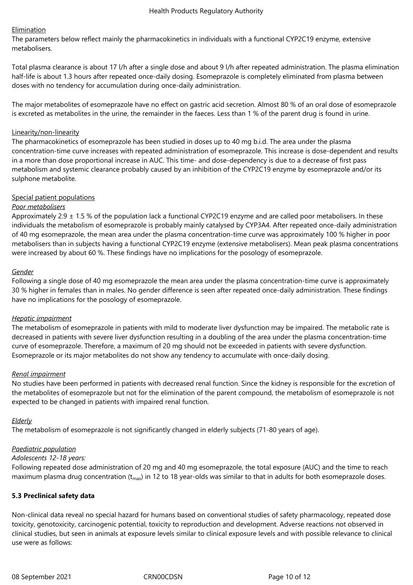## Elimination

The parameters below reflect mainly the pharmacokinetics in individuals with a functional CYP2C19 enzyme, extensive metabolisers.

Total plasma clearance is about 17 l/h after a single dose and about 9 l/h after repeated administration. The plasma elimination half-life is about 1.3 hours after repeated once-daily dosing. Esomeprazole is completely eliminated from plasma between doses with no tendency for accumulation during once-daily administration.

The major metabolites of esomeprazole have no effect on gastric acid secretion. Almost 80 % of an oral dose of esomeprazole is excreted as metabolites in the urine, the remainder in the faeces. Less than 1 % of the parent drug is found in urine.

#### Linearity/non-linearity

The pharmacokinetics of esomeprazole has been studied in doses up to 40 mg b.i.d. The area under the plasma concentration-time curve increases with repeated administration of esomeprazole. This increase is dose-dependent and results in a more than dose proportional increase in AUC. This time- and dose-dependency is due to a decrease of first pass metabolism and systemic clearance probably caused by an inhibition of the CYP2C19 enzyme by esomeprazole and/or its sulphone metabolite.

## Special patient populations

## *Poor metabolisers*

Approximately 2.9  $\pm$  1.5 % of the population lack a functional CYP2C19 enzyme and are called poor metabolisers. In these individuals the metabolism of esomeprazole is probably mainly catalysed by CYP3A4. After repeated once-daily administration of 40 mg esomeprazole, the mean area under the plasma concentration-time curve was approximately 100 % higher in poor metabolisers than in subjects having a functional CYP2C19 enzyme (extensive metabolisers). Mean peak plasma concentrations were increased by about 60 %. These findings have no implications for the posology of esomeprazole.

#### *Gender*

Following a single dose of 40 mg esomeprazole the mean area under the plasma concentration-time curve is approximately 30 % higher in females than in males. No gender difference is seen after repeated once-daily administration. These findings have no implications for the posology of esomeprazole.

#### *Hepatic impairment*

The metabolism of esomeprazole in patients with mild to moderate liver dysfunction may be impaired. The metabolic rate is decreased in patients with severe liver dysfunction resulting in a doubling of the area under the plasma concentration-time curve of esomeprazole. Therefore, a maximum of 20 mg should not be exceeded in patients with severe dysfunction. Esomeprazole or its major metabolites do not show any tendency to accumulate with once-daily dosing.

#### *Renal impairment*

No studies have been performed in patients with decreased renal function. Since the kidney is responsible for the excretion of the metabolites of esomeprazole but not for the elimination of the parent compound, the metabolism of esomeprazole is not expected to be changed in patients with impaired renal function.

#### *Elderly*

The metabolism of esomeprazole is not significantly changed in elderly subjects (71-80 years of age).

#### *Paediatric population*

#### *Adolescents 12-18 years:*

Following repeated dose administration of 20 mg and 40 mg esomeprazole, the total exposure (AUC) and the time to reach maximum plasma drug concentration  $(t_{max})$  in 12 to 18 year-olds was similar to that in adults for both esomeprazole doses.

#### **5.3 Preclinical safety data**

Non-clinical data reveal no special hazard for humans based on conventional studies of safety pharmacology, repeated dose toxicity, genotoxicity, carcinogenic potential, toxicity to reproduction and development. Adverse reactions not observed in clinical studies, but seen in animals at exposure levels similar to clinical exposure levels and with possible relevance to clinical use were as follows: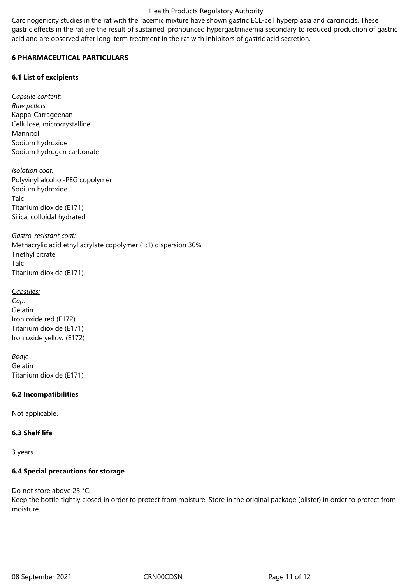Carcinogenicity studies in the rat with the racemic mixture have shown gastric ECL-cell hyperplasia and carcinoids. These gastric effects in the rat are the result of sustained, pronounced hypergastrinaemia secondary to reduced production of gastric acid and are observed after long-term treatment in the rat with inhibitors of gastric acid secretion.

## **6 PHARMACEUTICAL PARTICULARS**

## **6.1 List of excipients**

*Capsule content: Raw pellets:* Kappa-Carrageenan Cellulose, microcrystalline Mannitol Sodium hydroxide Sodium hydrogen carbonate

*Isolation coat:* Polyvinyl alcohol-PEG copolymer Sodium hydroxide Talc Titanium dioxide (E171) Silica, colloidal hydrated

*Gastro-resistant coat:* Methacrylic acid ethyl acrylate copolymer (1:1) dispersion 30% Triethyl citrate Talc Titanium dioxide (E171).

*Capsules: Cap:* Gelatin Iron oxide red (E172) Titanium dioxide (E171) Iron oxide yellow (E172)

*Body:*  Gelatin Titanium dioxide (E171)

## **6.2 Incompatibilities**

Not applicable.

## **6.3 Shelf life**

3 years.

## **6.4 Special precautions for storage**

Do not store above 25 °C.

Keep the bottle tightly closed in order to protect from moisture. Store in the original package (blister) in order to protect from moisture.